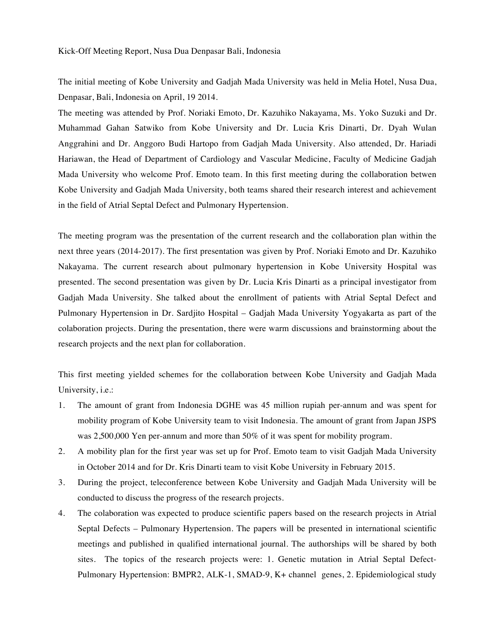The initial meeting of Kobe University and Gadjah Mada University was held in Melia Hotel, Nusa Dua, Denpasar, Bali, Indonesia on April, 19 2014.

The meeting was attended by Prof. Noriaki Emoto, Dr. Kazuhiko Nakayama, Ms. Yoko Suzuki and Dr. Muhammad Gahan Satwiko from Kobe University and Dr. Lucia Kris Dinarti, Dr. Dyah Wulan Anggrahini and Dr. Anggoro Budi Hartopo from Gadjah Mada University. Also attended, Dr. Hariadi Hariawan, the Head of Department of Cardiology and Vascular Medicine, Faculty of Medicine Gadjah Mada University who welcome Prof. Emoto team. In this first meeting during the collaboration betwen Kobe University and Gadjah Mada University, both teams shared their research interest and achievement in the field of Atrial Septal Defect and Pulmonary Hypertension.

The meeting program was the presentation of the current research and the collaboration plan within the next three years (2014-2017). The first presentation was given by Prof. Noriaki Emoto and Dr. Kazuhiko Nakayama. The current research about pulmonary hypertension in Kobe University Hospital was presented. The second presentation was given by Dr. Lucia Kris Dinarti as a principal investigator from Gadjah Mada University. She talked about the enrollment of patients with Atrial Septal Defect and Pulmonary Hypertension in Dr. Sardjito Hospital – Gadjah Mada University Yogyakarta as part of the colaboration projects. During the presentation, there were warm discussions and brainstorming about the research projects and the next plan for collaboration.

This first meeting yielded schemes for the collaboration between Kobe University and Gadjah Mada University, i.e.:

- 1. The amount of grant from Indonesia DGHE was 45 million rupiah per-annum and was spent for mobility program of Kobe University team to visit Indonesia. The amount of grant from Japan JSPS was 2,500,000 Yen per-annum and more than 50% of it was spent for mobility program.
- 2. A mobility plan for the first year was set up for Prof. Emoto team to visit Gadjah Mada University in October 2014 and for Dr. Kris Dinarti team to visit Kobe University in February 2015.
- 3. During the project, teleconference between Kobe University and Gadjah Mada University will be conducted to discuss the progress of the research projects.
- 4. The colaboration was expected to produce scientific papers based on the research projects in Atrial Septal Defects – Pulmonary Hypertension. The papers will be presented in international scientific meetings and published in qualified international journal. The authorships will be shared by both sites. The topics of the research projects were: 1. Genetic mutation in Atrial Septal Defect-Pulmonary Hypertension: BMPR2, ALK-1, SMAD-9, K+ channel genes, 2. Epidemiological study